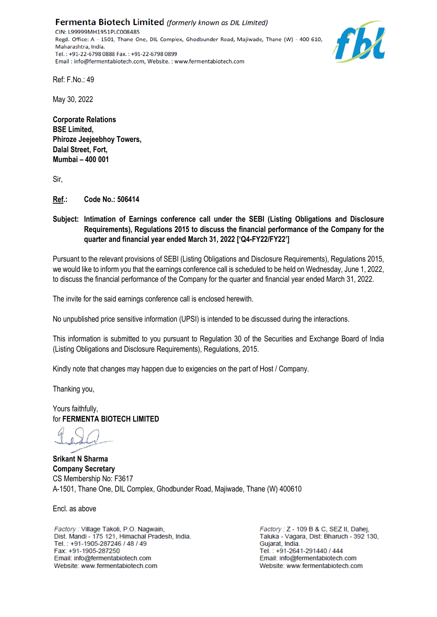**Fermenta Biotech Limited** (formerly known as DIL Limited) CIN: L99999MH1951PLC008485 Regd. Office: A - 1501, Thane One, DIL Complex, Ghodbunder Road, Majiwade, Thane (W) - 400 610, Maharashtra, India. Tel.: +91-22-6798 0888 Fax.: +91-22-6798 0899 Email: info@fermentabiotech.com, Website.: www.fermentabiotech.com



Ref: F.No.: 49

May 30, 2022

**Corporate Relations BSE Limited, Phiroze Jeejeebhoy Towers, Dalal Street, Fort, Mumbai – 400 001**

Sir,

**Ref.: Code No.: 506414**

**Subject: Intimation of Earnings conference call under the SEBI (Listing Obligations and Disclosure Requirements), Regulations 2015 to discuss the financial performance of the Company for the quarter and financial year ended March 31, 2022 ['Q4-FY22/FY22']** 

Pursuant to the relevant provisions of SEBI (Listing Obligations and Disclosure Requirements), Regulations 2015, we would like to inform you that the earnings conference call is scheduled to be held on Wednesday, June 1, 2022, to discuss the financial performance of the Company for the quarter and financial year ended March 31, 2022.

The invite for the said earnings conference call is enclosed herewith.

No unpublished price sensitive information (UPSI) is intended to be discussed during the interactions.

This information is submitted to you pursuant to Regulation 30 of the Securities and Exchange Board of India (Listing Obligations and Disclosure Requirements), Regulations, 2015.

Kindly note that changes may happen due to exigencies on the part of Host / Company.

Thanking you,

Yours faithfully, for **FERMENTA BIOTECH LIMITED**

**Srikant N Sharma Company Secretary** CS Membership No: F3617 A-1501, Thane One, DIL Complex, Ghodbunder Road, Majiwade, Thane (W) 400610

Encl. as above

Factory: Village Takoli, P.O. Nagwain, Dist. Mandi - 175 121, Himachal Pradesh, India. Tel.: +91-1905-287246 / 48 / 49 Fax: +91-1905-287250 Email: info@fermentabiotech.com Website: www.fermentabiotech.com

Factory: Z - 109 B & C, SEZ II, Dahej, Taluka - Vagara, Dist: Bharuch - 392 130, Guiarat, India Tel.: +91-2641-291440 / 444 Email: info@fermentabiotech.com Website: www.fermentabiotech.com